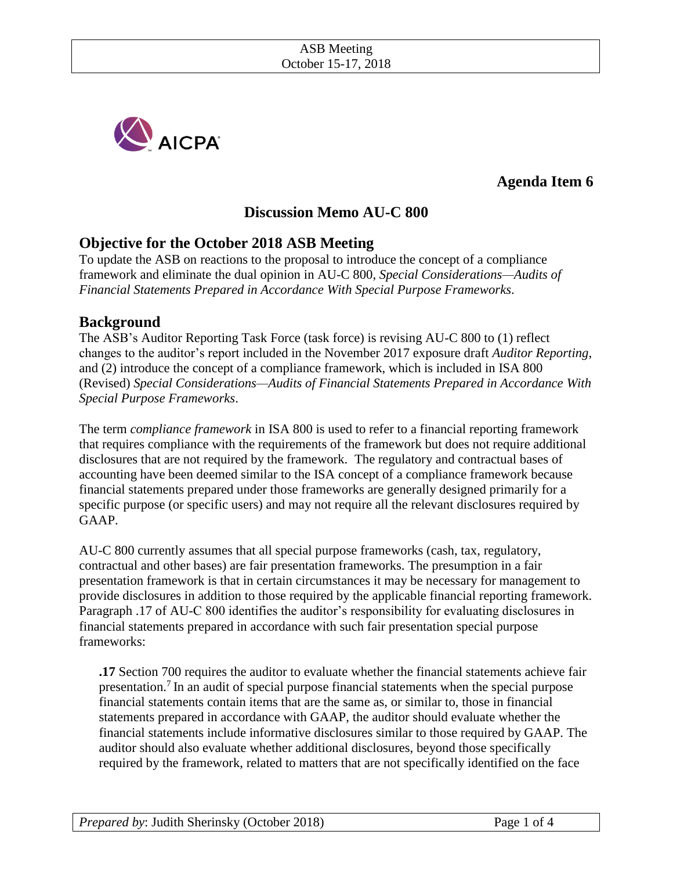

**Agenda Item 6** 

## **Discussion Memo AU-C 800**

## **Objective for the October 2018 ASB Meeting**

To update the ASB on reactions to the proposal to introduce the concept of a compliance framework and eliminate the dual opinion in AU-C 800, *Special Considerations—Audits of Financial Statements Prepared in Accordance With Special Purpose Frameworks.*

## **Background**

The ASB's Auditor Reporting Task Force (task force) is revising AU-C 800 to (1) reflect changes to the auditor's report included in the November 2017 exposure draft *Auditor Reporting*, and (2) introduce the concept of a compliance framework, which is included in ISA 800 (Revised) *Special Considerations—Audits of Financial Statements Prepared in Accordance With Special Purpose Frameworks*.

The term *compliance framework* in ISA 800 is used to refer to a financial reporting framework that requires compliance with the requirements of the framework but does not require additional disclosures that are not required by the framework. The regulatory and contractual bases of accounting have been deemed similar to the ISA concept of a compliance framework because financial statements prepared under those frameworks are generally designed primarily for a specific purpose (or specific users) and may not require all the relevant disclosures required by GAAP.

AU-C 800 currently assumes that all special purpose frameworks (cash, tax, regulatory, contractual and other bases) are fair presentation frameworks. The presumption in a fair presentation framework is that in certain circumstances it may be necessary for management to provide disclosures in addition to those required by the applicable financial reporting framework. Paragraph .17 of AU-C 800 identifies the auditor's responsibility for evaluating disclosures in financial statements prepared in accordance with such fair presentation special purpose frameworks:

**.17** Section 700 requires the auditor to evaluate whether the financial statements achieve fair presentation.<sup>7</sup> In an audit of special purpose financial statements when the special purpose financial statements contain items that are the same as, or similar to, those in financial statements prepared in accordance with GAAP, the auditor should evaluate whether the financial statements include informative disclosures similar to those required by GAAP. The auditor should also evaluate whether additional disclosures, beyond those specifically required by the framework, related to matters that are not specifically identified on the face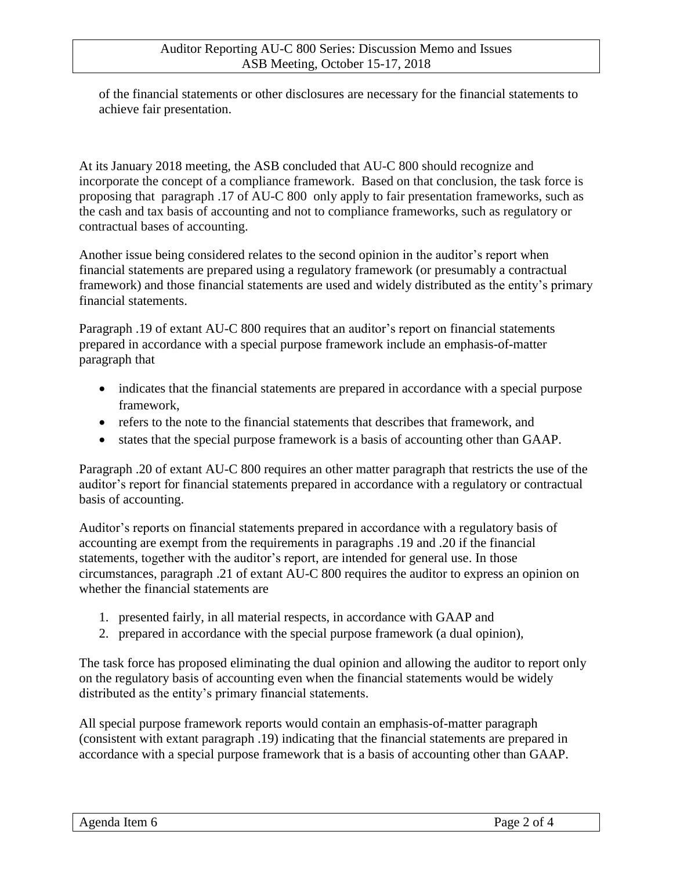of the financial statements or other disclosures are necessary for the financial statements to achieve fair presentation.

At its January 2018 meeting, the ASB concluded that AU-C 800 should recognize and incorporate the concept of a compliance framework. Based on that conclusion, the task force is proposing that paragraph .17 of AU-C 800 only apply to fair presentation frameworks, such as the cash and tax basis of accounting and not to compliance frameworks, such as regulatory or contractual bases of accounting.

Another issue being considered relates to the second opinion in the auditor's report when financial statements are prepared using a regulatory framework (or presumably a contractual framework) and those financial statements are used and widely distributed as the entity's primary financial statements.

Paragraph .19 of extant AU-C 800 requires that an auditor's report on financial statements prepared in accordance with a special purpose framework include an emphasis-of-matter paragraph that

- indicates that the financial statements are prepared in accordance with a special purpose framework,
- refers to the note to the financial statements that describes that framework, and
- states that the special purpose framework is a basis of accounting other than GAAP.

Paragraph .20 of extant AU-C 800 requires an other matter paragraph that restricts the use of the auditor's report for financial statements prepared in accordance with a regulatory or contractual basis of accounting.

Auditor's reports on financial statements prepared in accordance with a regulatory basis of accounting are exempt from the requirements in paragraphs .19 and .20 if the financial statements, together with the auditor's report, are intended for general use. In those circumstances, paragraph .21 of extant AU-C 800 requires the auditor to express an opinion on whether the financial statements are

- 1. presented fairly, in all material respects, in accordance with GAAP and
- 2. prepared in accordance with the special purpose framework (a dual opinion),

The task force has proposed eliminating the dual opinion and allowing the auditor to report only on the regulatory basis of accounting even when the financial statements would be widely distributed as the entity's primary financial statements.

All special purpose framework reports would contain an emphasis-of-matter paragraph (consistent with extant paragraph .19) indicating that the financial statements are prepared in accordance with a special purpose framework that is a basis of accounting other than GAAP.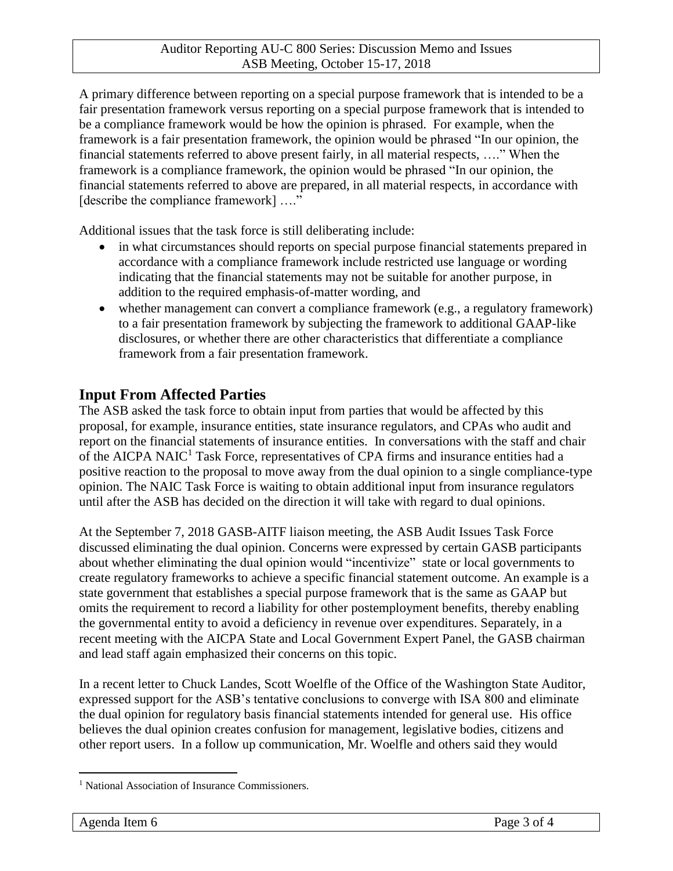A primary difference between reporting on a special purpose framework that is intended to be a fair presentation framework versus reporting on a special purpose framework that is intended to be a compliance framework would be how the opinion is phrased. For example, when the framework is a fair presentation framework, the opinion would be phrased "In our opinion, the financial statements referred to above present fairly, in all material respects, …." When the framework is a compliance framework, the opinion would be phrased "In our opinion, the financial statements referred to above are prepared, in all material respects, in accordance with [describe the compliance framework] ...."

Additional issues that the task force is still deliberating include:

- in what circumstances should reports on special purpose financial statements prepared in accordance with a compliance framework include restricted use language or wording indicating that the financial statements may not be suitable for another purpose, in addition to the required emphasis-of-matter wording, and
- whether management can convert a compliance framework (e.g., a regulatory framework) to a fair presentation framework by subjecting the framework to additional GAAP-like disclosures, or whether there are other characteristics that differentiate a compliance framework from a fair presentation framework.

## **Input From Affected Parties**

The ASB asked the task force to obtain input from parties that would be affected by this proposal, for example, insurance entities, state insurance regulators, and CPAs who audit and report on the financial statements of insurance entities. In conversations with the staff and chair of the AICPA NAIC<sup>1</sup> Task Force, representatives of CPA firms and insurance entities had a positive reaction to the proposal to move away from the dual opinion to a single compliance-type opinion. The NAIC Task Force is waiting to obtain additional input from insurance regulators until after the ASB has decided on the direction it will take with regard to dual opinions.

At the September 7, 2018 GASB-AITF liaison meeting, the ASB Audit Issues Task Force discussed eliminating the dual opinion. Concerns were expressed by certain GASB participants about whether eliminating the dual opinion would "incentivize" state or local governments to create regulatory frameworks to achieve a specific financial statement outcome. An example is a state government that establishes a special purpose framework that is the same as GAAP but omits the requirement to record a liability for other postemployment benefits, thereby enabling the governmental entity to avoid a deficiency in revenue over expenditures. Separately, in a recent meeting with the AICPA State and Local Government Expert Panel, the GASB chairman and lead staff again emphasized their concerns on this topic.

In a recent letter to Chuck Landes, Scott Woelfle of the Office of the Washington State Auditor, expressed support for the ASB's tentative conclusions to converge with ISA 800 and eliminate the dual opinion for regulatory basis financial statements intended for general use. His office believes the dual opinion creates confusion for management, legislative bodies, citizens and other report users. In a follow up communication, Mr. Woelfle and others said they would

 $\overline{a}$ 

<sup>&</sup>lt;sup>1</sup> National Association of Insurance Commissioners.